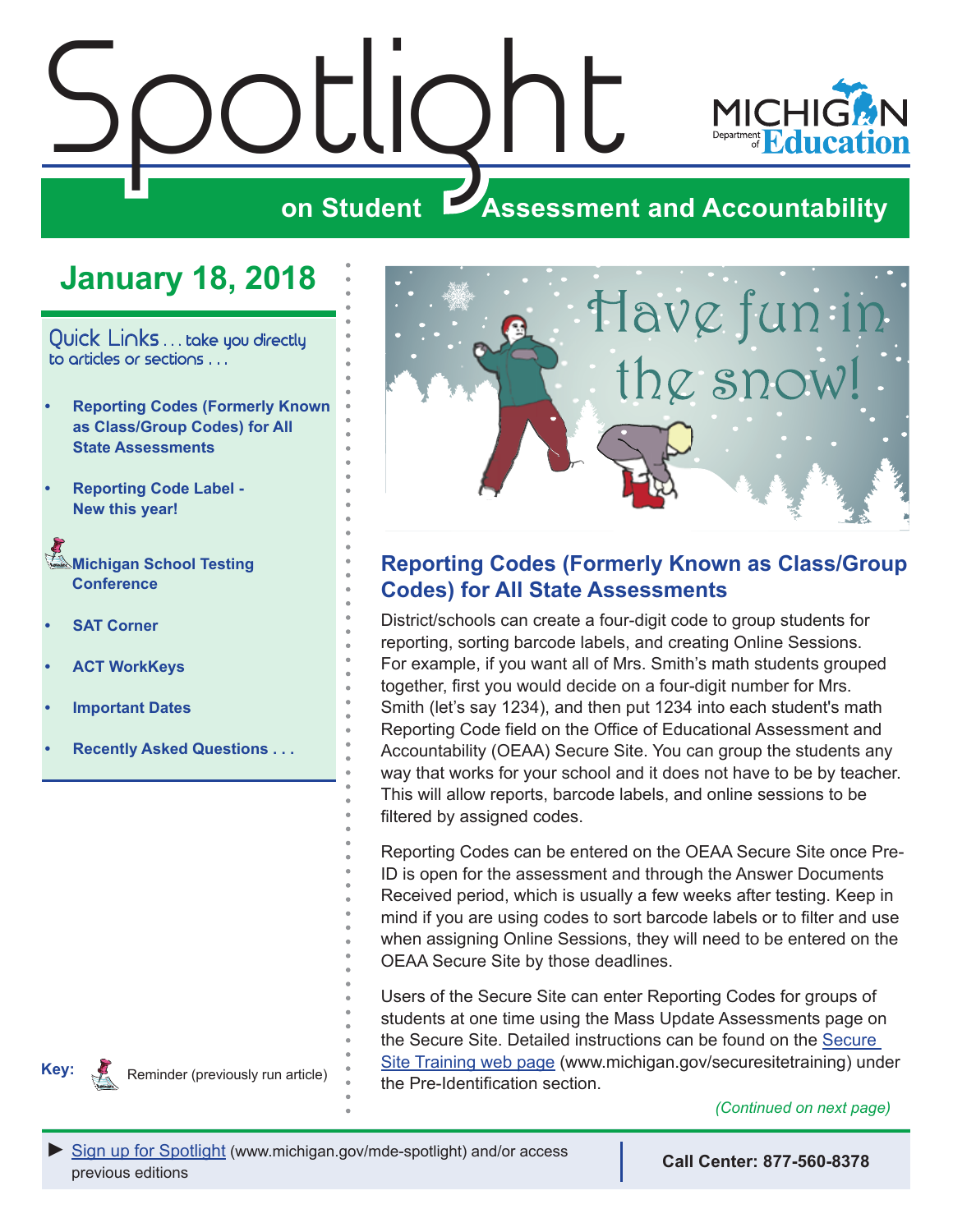<span id="page-0-0"></span>

## **January 18, 2018**

Quick Links . . . take you directly to articles or sections . . .

- **• Reporting Codes (Formerly Known as Class/Group Codes) for All State Assessments**
- **• [Reporting Code Label -](#page-1-0) [New this year!](#page-1-0)**

**Michigan School Testing [Conference](#page-2-0)** 

**• [SAT Corner](#page-2-0)**

**Key:**

Reminders

- **• [ACT WorkKeys](#page-3-0)**
- **• [Important Dates](#page-5-0)**
- **• [Recently Asked Questions . . .](#page-6-0)**

Reminder (previously run article)



## **Reporting Codes (Formerly Known as Class/Group Codes) for All State Assessments**

District/schools can create a four-digit code to group students for reporting, sorting barcode labels, and creating Online Sessions. For example, if you want all of Mrs. Smith's math students grouped together, first you would decide on a four-digit number for Mrs. Smith (let's say 1234), and then put 1234 into each student's math Reporting Code field on the Office of Educational Assessment and Accountability (OEAA) Secure Site. You can group the students any way that works for your school and it does not have to be by teacher. This will allow reports, barcode labels, and online sessions to be filtered by assigned codes.

Reporting Codes can be entered on the OEAA Secure Site once Pre-ID is open for the assessment and through the Answer Documents Received period, which is usually a few weeks after testing. Keep in mind if you are using codes to sort barcode labels or to filter and use when assigning Online Sessions, they will need to be entered on the OEAA Secure Site by those deadlines.

Users of the Secure Site can enter Reporting Codes for groups of students at one time using the Mass Update Assessments page on the Secure Site. Detailed instructions can be found on the [Secure](http://www.michigan.gov/mde/0,4615,7-140-22709_57003---,00.html)  [Site Training web page](http://www.michigan.gov/mde/0,4615,7-140-22709_57003---,00.html) (www.michigan.gov/securesitetraining) under the Pre-Identification section.

*(Continued on next page)*



**Call Center: 877-560-8378**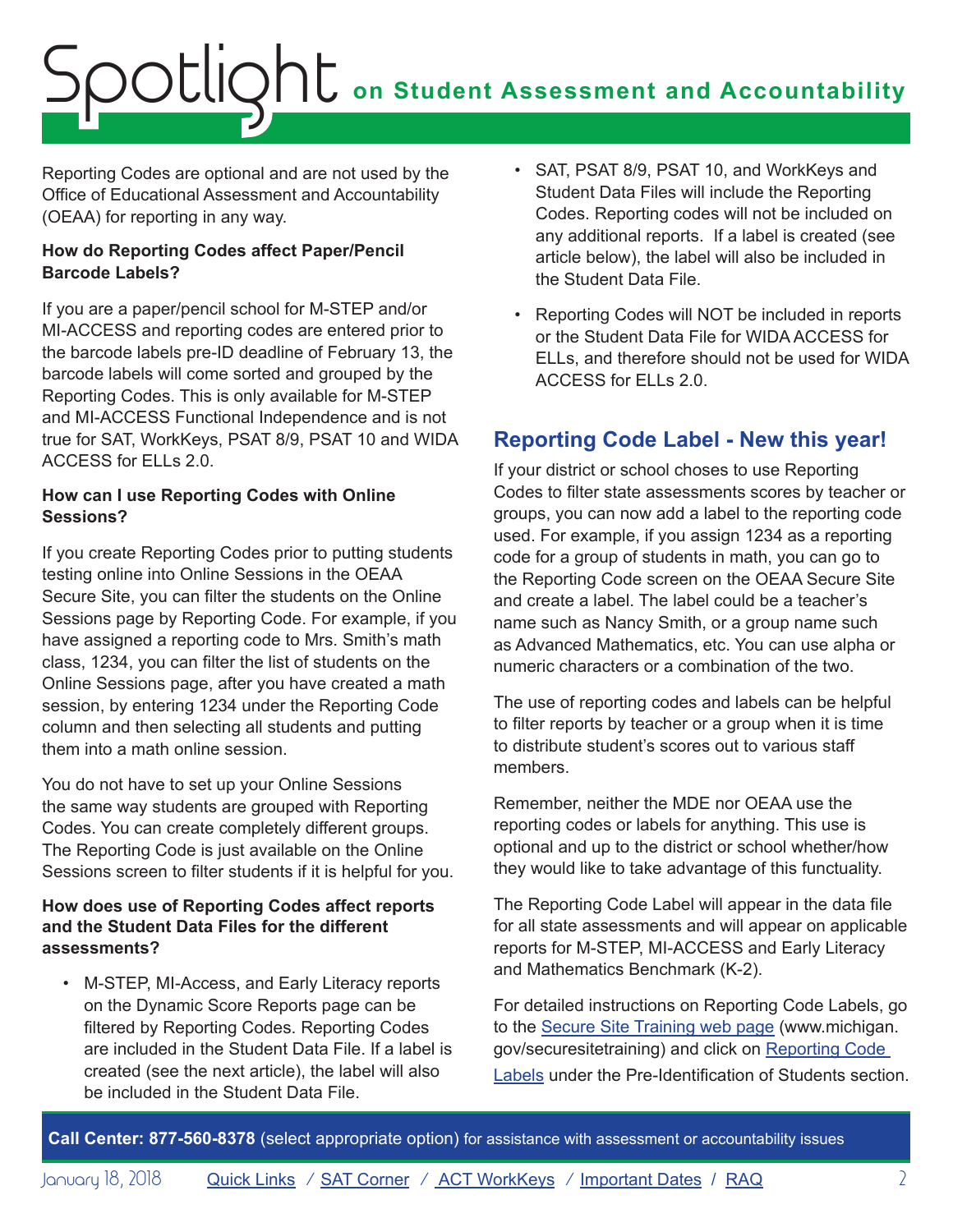# <span id="page-1-0"></span>**on Student Assessment and Accountability** Spotlight

Reporting Codes are optional and are not used by the Office of Educational Assessment and Accountability (OEAA) for reporting in any way.

#### **How do Reporting Codes affect Paper/Pencil Barcode Labels?**

If you are a paper/pencil school for M-STEP and/or MI-ACCESS and reporting codes are entered prior to the barcode labels pre-ID deadline of February 13, the barcode labels will come sorted and grouped by the Reporting Codes. This is only available for M-STEP and MI-ACCESS Functional Independence and is not true for SAT, WorkKeys, PSAT 8/9, PSAT 10 and WIDA ACCESS for ELLs 2.0.

#### **How can I use Reporting Codes with Online Sessions?**

If you create Reporting Codes prior to putting students testing online into Online Sessions in the OEAA Secure Site, you can filter the students on the Online Sessions page by Reporting Code. For example, if you have assigned a reporting code to Mrs. Smith's math class, 1234, you can filter the list of students on the Online Sessions page, after you have created a math session, by entering 1234 under the Reporting Code column and then selecting all students and putting them into a math online session.

You do not have to set up your Online Sessions the same way students are grouped with Reporting Codes. You can create completely different groups. The Reporting Code is just available on the Online Sessions screen to filter students if it is helpful for you.

#### **How does use of Reporting Codes affect reports and the Student Data Files for the different assessments?**

• M-STEP, MI-Access, and Early Literacy reports on the Dynamic Score Reports page can be filtered by Reporting Codes. Reporting Codes are included in the Student Data File. If a label is created (see the next article), the label will also be included in the Student Data File.

- SAT, PSAT 8/9, PSAT 10, and WorkKeys and Student Data Files will include the Reporting Codes. Reporting codes will not be included on any additional reports. If a label is created (see article below), the label will also be included in the Student Data File.
- Reporting Codes will NOT be included in reports or the Student Data File for WIDA ACCESS for ELLs, and therefore should not be used for WIDA ACCESS for ELLs 2.0.

## **Reporting Code Label - New this year!**

If your district or school choses to use Reporting Codes to filter state assessments scores by teacher or groups, you can now add a label to the reporting code used. For example, if you assign 1234 as a reporting code for a group of students in math, you can go to the Reporting Code screen on the OEAA Secure Site and create a label. The label could be a teacher's name such as Nancy Smith, or a group name such as Advanced Mathematics, etc. You can use alpha or numeric characters or a combination of the two.

The use of reporting codes and labels can be helpful to filter reports by teacher or a group when it is time to distribute student's scores out to various staff members.

Remember, neither the MDE nor OEAA use the reporting codes or labels for anything. This use is optional and up to the district or school whether/how they would like to take advantage of this functuality.

The Reporting Code Label will appear in the data file for all state assessments and will appear on applicable reports for M-STEP, MI-ACCESS and Early Literacy and Mathematics Benchmark (K-2).

For detailed instructions on Reporting Code Labels, go to the [Secure Site Training web page](http://www.michigan.gov/mde/0,4615,7-140-22709_57003---,00.html) (www.michigan. gov/securesitetraining) and click on [Reporting Code](http://www.michigan.gov/documents/mde/Reporting_Codes_Instructions_609853_7.pdf)  [Labels](http://www.michigan.gov/documents/mde/Reporting_Codes_Instructions_609853_7.pdf) under the Pre-Identification of Students section.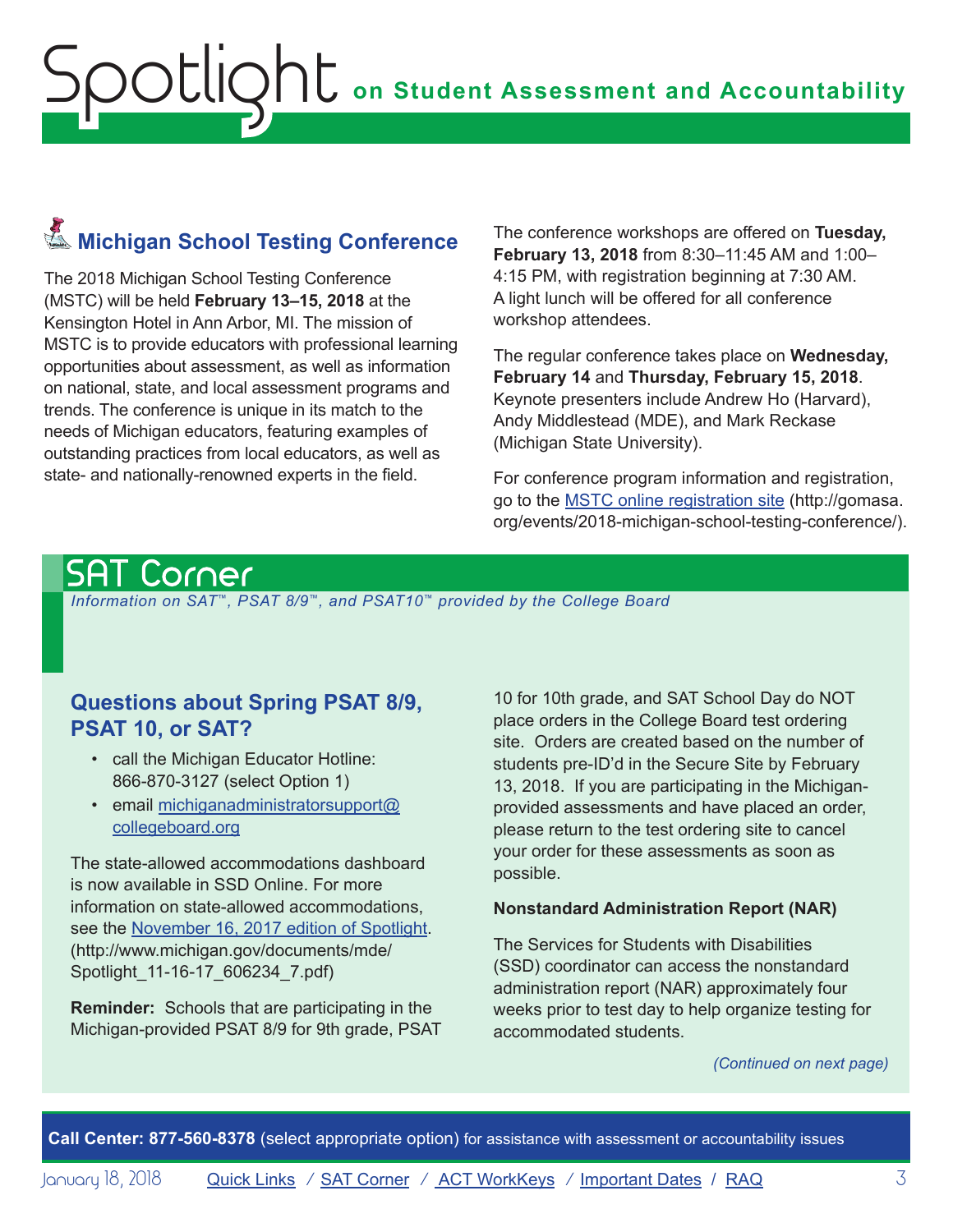## <span id="page-2-0"></span>**K**<br>Michigan School Testing Conference

The 2018 Michigan School Testing Conference (MSTC) will be held **February 13–15, 2018** at the Kensington Hotel in Ann Arbor, MI. The mission of MSTC is to provide educators with professional learning opportunities about assessment, as well as information on national, state, and local assessment programs and trends. The conference is unique in its match to the needs of Michigan educators, featuring examples of outstanding practices from local educators, as well as state- and nationally-renowned experts in the field.

The conference workshops are offered on **Tuesday, February 13, 2018** from 8:30–11:45 AM and 1:00– 4:15 PM, with registration beginning at 7:30 AM. A light lunch will be offered for all conference workshop attendees.

The regular conference takes place on **Wednesday, February 14** and **Thursday, February 15, 2018**. Keynote presenters include Andrew Ho (Harvard), Andy Middlestead (MDE), and Mark Reckase (Michigan State University).

For conference program information and registration, go to the [MSTC online registration site](http://gomasa.org/events/2018-michigan-school-testing-conference/) ([http://gomasa.](http://gomasa.org/events/2018-michigan-school-testing-conference/) [org/events/2018-michigan-school-testing-conference/](http://gomasa.org/events/2018-michigan-school-testing-conference/)).

## <span id="page-2-1"></span>SAT Corner

 *Information on SAT*™*, PSAT 8/9*™*, and PSAT10*™ *provided by the College Board*

### **Questions about Spring PSAT 8/9, PSAT 10, or SAT?**

- call the Michigan Educator Hotline: 866-870-3127 (select Option 1)
- email [michiganadministratorsupport@](mailto:michiganadministratorsupport%40collegeboard.org?subject=) [collegeboard.org](mailto:michiganadministratorsupport%40collegeboard.org?subject=)

The state-allowed accommodations dashboard is now available in SSD Online. For more information on state-allowed accommodations, see the [November 16, 2017 edition of Spotlight.](http://www.michigan.gov/documents/mde/Spotlight_11-16-17_606234_7.pdf) (http://www.michigan.gov/documents/mde/ Spotlight\_11-16-17\_606234\_7.pdf)

**Reminder:** Schools that are participating in the Michigan-provided PSAT 8/9 for 9th grade, PSAT

10 for 10th grade, and SAT School Day do NOT place orders in the College Board test ordering site. Orders are created based on the number of students pre-ID'd in the Secure Site by February 13, 2018. If you are participating in the Michiganprovided assessments and have placed an order, please return to the test ordering site to cancel your order for these assessments as soon as possible.

#### **Nonstandard Administration Report (NAR)**

The Services for Students with Disabilities (SSD) coordinator can access the nonstandard administration report (NAR) approximately four weeks prior to test day to help organize testing for accommodated students.

*(Continued on next page)*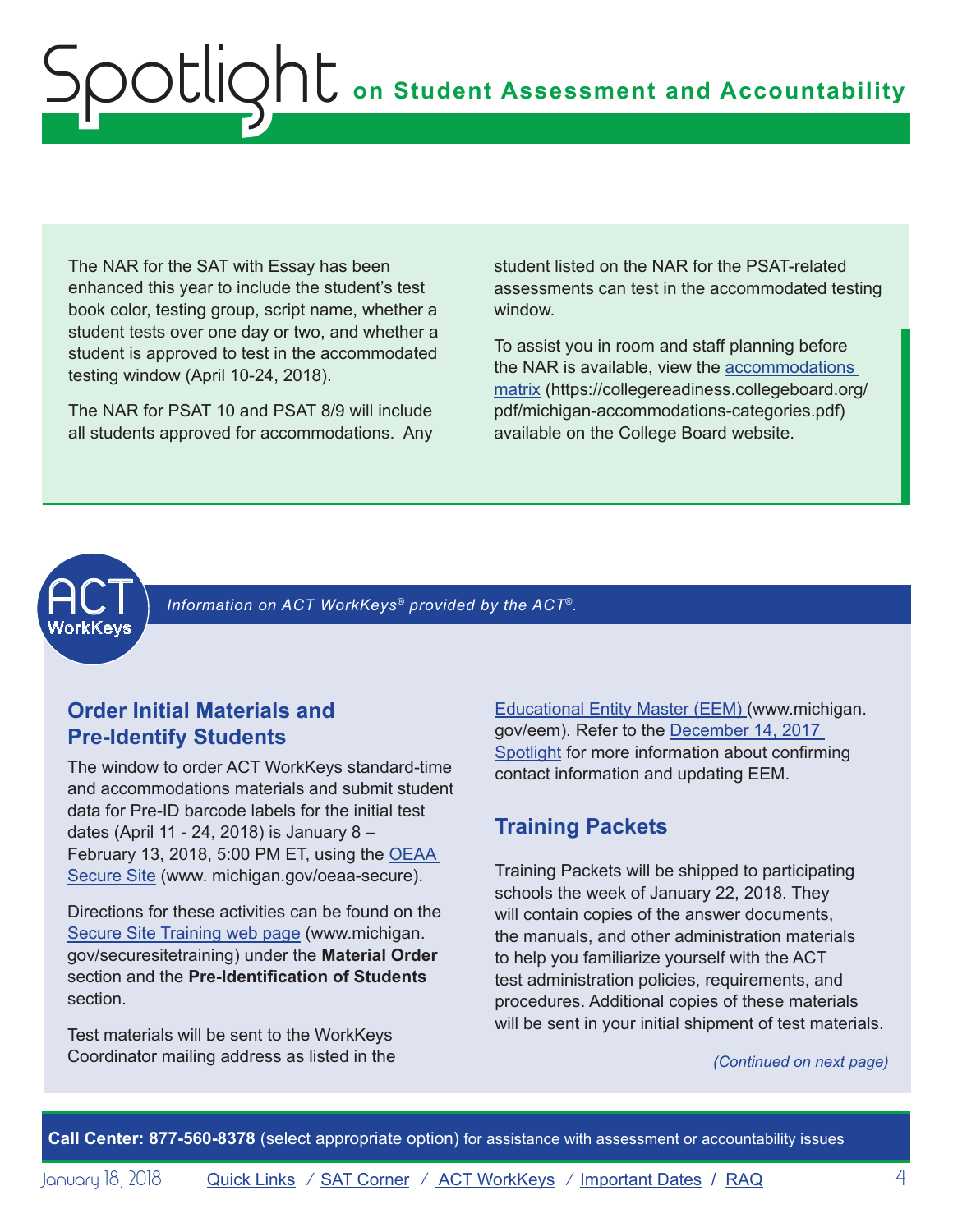<span id="page-3-0"></span>The NAR for the SAT with Essay has been enhanced this year to include the student's test book color, testing group, script name, whether a student tests over one day or two, and whether a student is approved to test in the accommodated testing window (April 10-24, 2018).

The NAR for PSAT 10 and PSAT 8/9 will include all students approved for accommodations. Any student listed on the NAR for the PSAT-related assessments can test in the accommodated testing window.

To assist you in room and staff planning before the NAR is available, view the [accommodations](https://collegereadiness.collegeboard.org/pdf/michigan-accommodations-categories.pdf)  [matrix](https://collegereadiness.collegeboard.org/pdf/michigan-accommodations-categories.pdf) (https://collegereadiness.collegeboard.org/ pdf/michigan-accommodations-categories.pdf) available on the College Board website.



<span id="page-3-1"></span>Information on ACT WorkKeys<sup>®</sup> provided by the ACT<sup>®</sup>.

### **Order Initial Materials and Pre-Identify Students**

The window to order ACT WorkKeys standard-time and accommodations materials and submit student data for Pre-ID barcode labels for the initial test dates (April 11 - 24, 2018) is January 8 – February 13, 2018, 5:00 PM ET, using the [OEAA](http://www.michigan.gov/oeaa-secure)  [Secure Site](http://www.michigan.gov/oeaa-secure) ([www. michigan.gov/oeaa-secure](http://www.michigan.gov/oeaa-secure)).

Directions for these activities can be found on the [Secure Site Training web page](http://www.michigan.gov/securesitetraining) ([www.michigan.](http://www.michigan.gov/securesitetraining) [gov/securesitetraining](http://www.michigan.gov/securesitetraining)) under the **Material Order** section and the **Pre-Identification of Students** section.

Test materials will be sent to the WorkKeys Coordinator mailing address as listed in the [Educational Entity Master \(EEM\)](www.michigan.gov/EEM) ([www.michigan.](www.michigan.gov/EEM) [gov/eem](www.michigan.gov/EEM)). Refer to the [December 14, 2017](http://www.michigan.gov/documents/mde/Spotlight_12-14-17_608699_7.pdf)  [Spotlight](http://www.michigan.gov/documents/mde/Spotlight_12-14-17_608699_7.pdf) for more information about confirming contact information and updating EEM.

### **Training Packets**

Training Packets will be shipped to participating schools the week of January 22, 2018. They will contain copies of the answer documents, the manuals, and other administration materials to help you familiarize yourself with the ACT test administration policies, requirements, and procedures. Additional copies of these materials will be sent in your initial shipment of test materials.

#### *(Continued on next page)*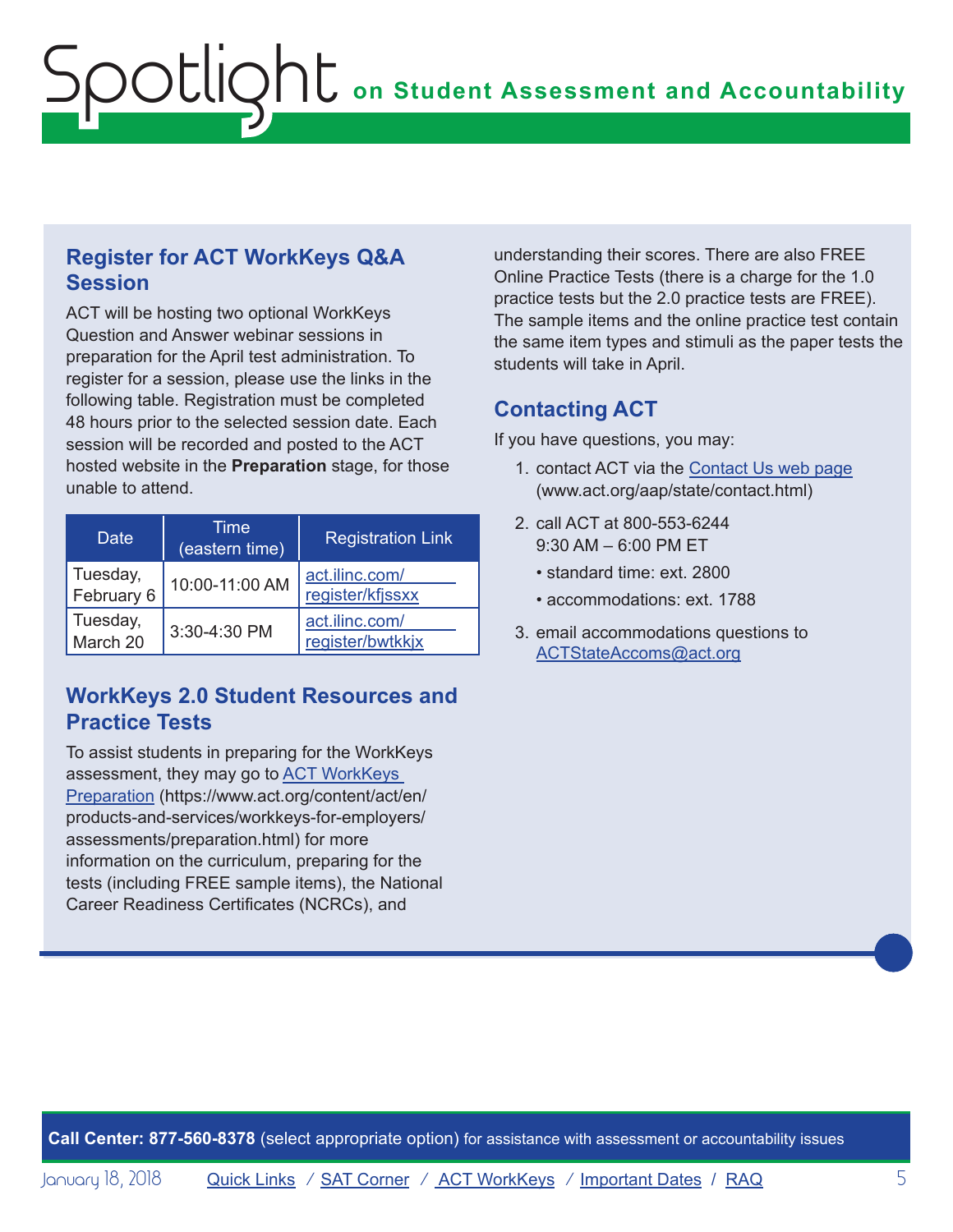## **Register for ACT WorkKeys Q&A Session**

ACT will be hosting two optional WorkKeys Question and Answer webinar sessions in preparation for the April test administration. To register for a session, please use the links in the following table. Registration must be completed 48 hours prior to the selected session date. Each session will be recorded and posted to the ACT hosted website in the **Preparation** stage, for those unable to attend.

| Date                   | Time<br>(eastern time) | <b>Registration Link</b>           |
|------------------------|------------------------|------------------------------------|
| Tuesday,<br>February 6 | 10:00-11:00 AM         | act.ilinc.com/<br>register/kfjssxx |
| Tuesday,<br>March 20   | 3:30-4:30 PM           | act.ilinc.com/<br>register/bwtkkjx |

## **WorkKeys 2.0 Student Resources and Practice Tests**

To assist students in preparing for the WorkKeys assessment, they may go to [ACT WorkKeys](https://www.act.org/content/act/en/products-and-services/workkeys-for-employers/assessments/preparation.html)  [Preparation](https://www.act.org/content/act/en/products-and-services/workkeys-for-employers/assessments/preparation.html) [\(https://www.act.org/content/act/en/](https://www.act.org/content/act/en/products-and-services/workkeys-for-employers/assessments/preparation.html) [products-and-services/workkeys-for-employers/](https://www.act.org/content/act/en/products-and-services/workkeys-for-employers/assessments/preparation.html) [assessments/preparation.html](https://www.act.org/content/act/en/products-and-services/workkeys-for-employers/assessments/preparation.html)) for more information on the curriculum, preparing for the tests (including FREE sample items), the National Career Readiness Certificates (NCRCs), and

understanding their scores. There are also FREE Online Practice Tests (there is a charge for the 1.0 practice tests but the 2.0 practice tests are FREE). The sample items and the online practice test contain the same item types and stimuli as the paper tests the students will take in April.

## **Contacting ACT**

If you have questions, you may:

- 1. contact ACT via the [Contact Us web page](http://www.act.org/aap/state/contact.html) [\(www.act.org/aap/state/contact.html\)](www.act.org/aap/state/contact.html)
- 2. call ACT at 800-553-6244 9:30 AM – 6:00 PM ET
	- standard time: ext. 2800
	- accommodations: ext. 1788
- 3. email accommodations questions to [ACTStateAccoms@act.org](mailto:ACTStateAccoms%40act.org?subject=)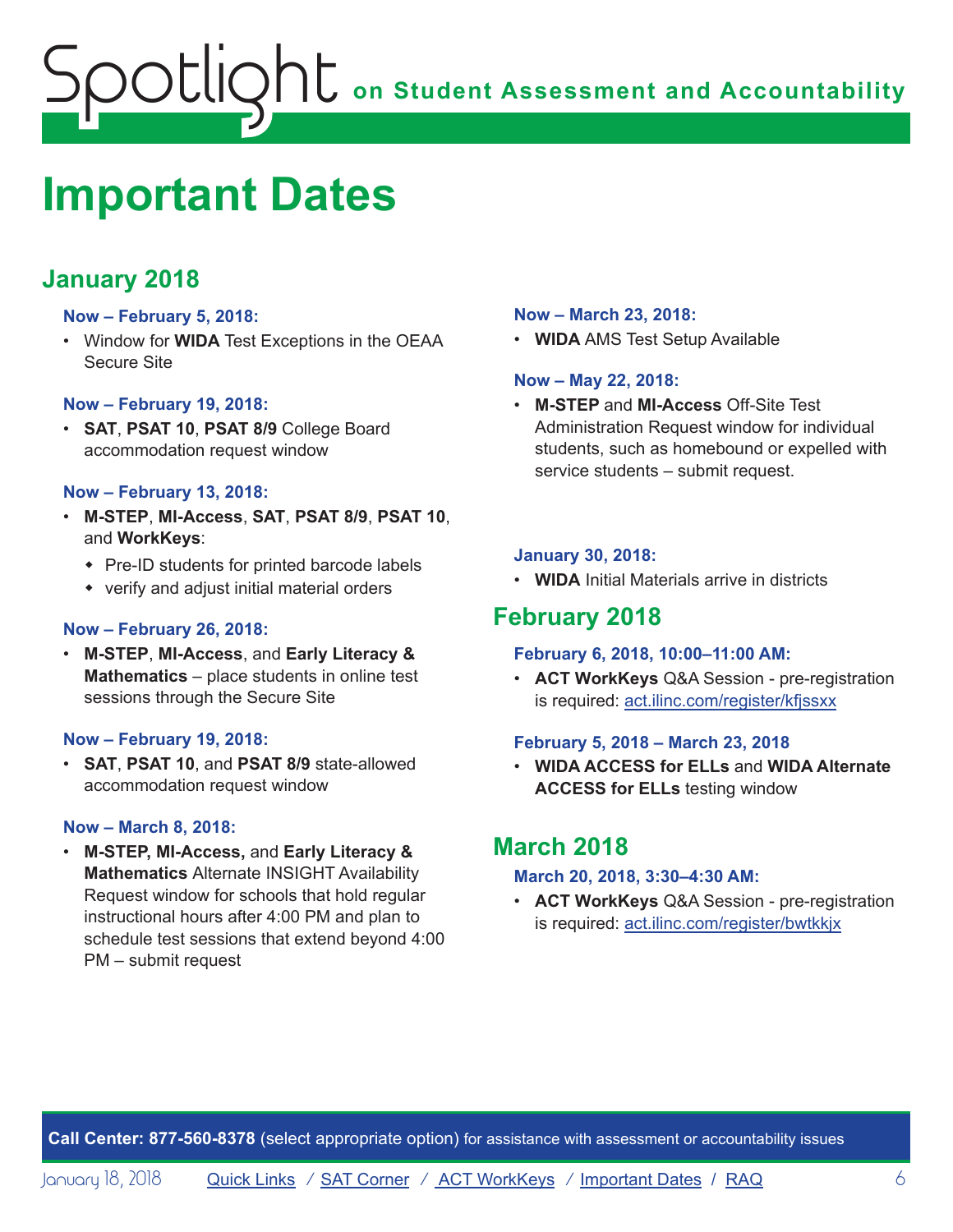# <span id="page-5-0"></span>**ONE** on Student Assessment and Accountability potlic

## <span id="page-5-1"></span>**Important Dates**

## **January 2018**

#### **Now – February 5, 2018:**

• Window for **WIDA** Test Exceptions in the OEAA Secure Site

#### **Now – February 19, 2018:**

• **SAT**, **PSAT 10**, **PSAT 8/9** College Board accommodation request window

#### **Now – February 13, 2018:**

- **M-STEP**, **MI-Access**, **SAT**, **PSAT 8/9**, **PSAT 10**, and **WorkKeys**:
	- $\cdot$  Pre-ID students for printed barcode labels
	- $\bullet$  verify and adjust initial material orders

#### **Now – February 26, 2018:**

• **M-STEP**, **MI-Access**, and **Early Literacy & Mathematics** – place students in online test sessions through the Secure Site

#### **Now – February 19, 2018:**

• **SAT**, **PSAT 10**, and **PSAT 8/9** state-allowed accommodation request window

#### **Now – March 8, 2018:**

• **M-STEP, MI-Access,** and **Early Literacy & Mathematics** Alternate INSIGHT Availability Request window for schools that hold regular instructional hours after 4:00 PM and plan to schedule test sessions that extend beyond 4:00 PM – submit request

#### **Now – March 23, 2018:**

• **WIDA** AMS Test Setup Available

#### **Now – May 22, 2018:**

• **M-STEP** and **MI-Access** Off-Site Test Administration Request window for individual students, such as homebound or expelled with service students – submit request.

#### **January 30, 2018:**

• **WIDA** Initial Materials arrive in districts

## **February 2018**

#### **February 6, 2018, 10:00–11:00 AM:**

• **ACT WorkKeys** Q&A Session - pre-registration is required: act.ilinc.com/register/kfjssxx

#### **February 5, 2018 – March 23, 2018**

• **WIDA ACCESS for ELLs** and **WIDA Alternate ACCESS for ELLs** testing window

## **March 2018**

#### **March 20, 2018, 3:30–4:30 AM:**

• **ACT WorkKeys** Q&A Session - pre-registration is required: act.ilinc.com/register/bwtkkjx

**Call Center: 877-560-8378** (select appropriate option) for assistance with assessment or accountability issues

January 18, 2018 **[Quick Links](#page-0-0)** / **[SAT Corner](#page-2-1)** / **[ACT WorkKeys](#page-3-1)** / **[Important Dates](#page-5-1) / [RAQ](#page-6-0)** 6